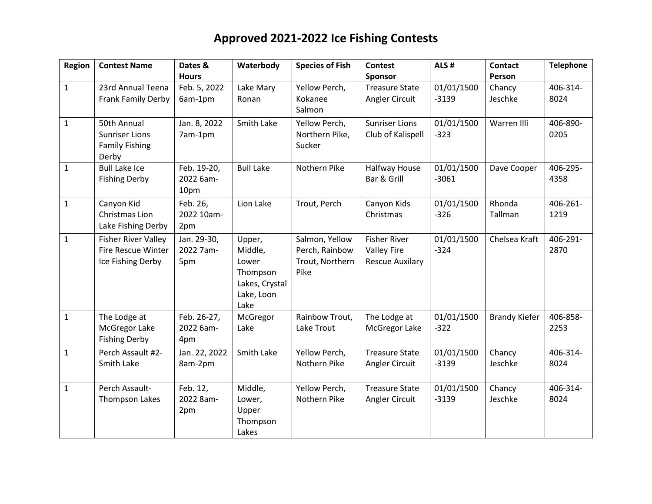| Region       | <b>Contest Name</b>        | Dates &       | Waterbody         | <b>Species of Fish</b>  | <b>Contest</b>         | ALS#       | <b>Contact</b>       | <b>Telephone</b> |
|--------------|----------------------------|---------------|-------------------|-------------------------|------------------------|------------|----------------------|------------------|
|              |                            | <b>Hours</b>  |                   |                         | Sponsor                |            | Person               |                  |
| $\mathbf{1}$ | 23rd Annual Teena          | Feb. 5, 2022  | Lake Mary         | Yellow Perch,           | <b>Treasure State</b>  | 01/01/1500 | Chancy               | 406-314-         |
|              | Frank Family Derby         | 6am-1pm       | Ronan             | Kokanee                 | Angler Circuit         | $-3139$    | Jeschke              | 8024             |
|              |                            |               |                   | Salmon                  |                        |            |                      |                  |
| $\mathbf{1}$ | 50th Annual                | Jan. 8, 2022  | Smith Lake        | Yellow Perch,           | <b>Sunriser Lions</b>  | 01/01/1500 | Warren Illi          | 406-890-         |
|              | <b>Sunriser Lions</b>      | 7am-1pm       |                   | Northern Pike,          | Club of Kalispell      | $-323$     |                      | 0205             |
|              | <b>Family Fishing</b>      |               |                   | Sucker                  |                        |            |                      |                  |
|              | Derby                      |               |                   |                         |                        |            |                      |                  |
| $\mathbf{1}$ | <b>Bull Lake Ice</b>       | Feb. 19-20,   | <b>Bull Lake</b>  | Nothern Pike            | <b>Halfway House</b>   | 01/01/1500 | Dave Cooper          | 406-295-         |
|              | <b>Fishing Derby</b>       | 2022 6am-     |                   |                         | Bar & Grill            | $-3061$    |                      | 4358             |
|              |                            | 10pm          |                   |                         |                        |            |                      |                  |
| $\mathbf{1}$ | Canyon Kid                 | Feb. 26,      | Lion Lake         | Trout, Perch            | Canyon Kids            | 01/01/1500 | Rhonda               | 406-261-         |
|              | Christmas Lion             | 2022 10am-    |                   |                         | Christmas              | $-326$     | Tallman              | 1219             |
|              | Lake Fishing Derby         | 2pm           |                   |                         |                        |            |                      |                  |
| $\mathbf{1}$ | <b>Fisher River Valley</b> | Jan. 29-30,   | Upper,            | Salmon, Yellow          | <b>Fisher River</b>    | 01/01/1500 | Chelsea Kraft        | 406-291-         |
|              | <b>Fire Rescue Winter</b>  | 2022 7am-     | Middle,           | Perch, Rainbow          | <b>Valley Fire</b>     | $-324$     |                      | 2870             |
|              | Ice Fishing Derby          | 5pm           | Lower<br>Thompson | Trout, Northern<br>Pike | <b>Rescue Auxilary</b> |            |                      |                  |
|              |                            |               | Lakes, Crystal    |                         |                        |            |                      |                  |
|              |                            |               | Lake, Loon        |                         |                        |            |                      |                  |
|              |                            |               | Lake              |                         |                        |            |                      |                  |
| $\mathbf{1}$ | The Lodge at               | Feb. 26-27,   | McGregor          | Rainbow Trout,          | The Lodge at           | 01/01/1500 | <b>Brandy Kiefer</b> | 406-858-         |
|              | McGregor Lake              | 2022 6am-     | Lake              | Lake Trout              | McGregor Lake          | $-322$     |                      | 2253             |
|              | <b>Fishing Derby</b>       | 4pm           |                   |                         |                        |            |                      |                  |
| $\mathbf{1}$ | Perch Assault #2-          | Jan. 22, 2022 | Smith Lake        | Yellow Perch,           | <b>Treasure State</b>  | 01/01/1500 | Chancy               | 406-314-         |
|              | Smith Lake                 | 8am-2pm       |                   | Nothern Pike            | Angler Circuit         | $-3139$    | Jeschke              | 8024             |
|              |                            |               |                   |                         |                        |            |                      |                  |
| $\mathbf{1}$ | Perch Assault-             | Feb. 12,      | Middle,           | Yellow Perch,           | <b>Treasure State</b>  | 01/01/1500 | Chancy               | 406-314-         |
|              | Thompson Lakes             | 2022 8am-     | Lower,            | Nothern Pike            | Angler Circuit         | $-3139$    | Jeschke              | 8024             |
|              |                            | 2pm           | Upper             |                         |                        |            |                      |                  |
|              |                            |               | Thompson          |                         |                        |            |                      |                  |
|              |                            |               | Lakes             |                         |                        |            |                      |                  |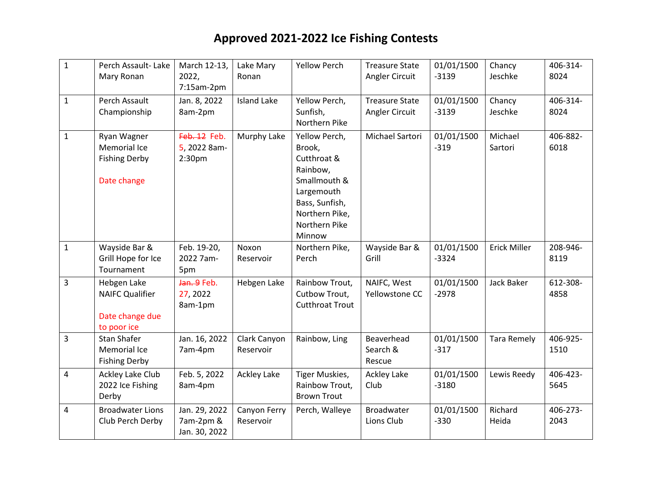| $\mathbf{1}$ | Perch Assault-Lake<br>Mary Ronan                                        | March 12-13,<br>2022,<br>7:15am-2pm                | Lake Mary<br>Ronan        | <b>Yellow Perch</b>                                                                                                                             | <b>Treasure State</b><br>Angler Circuit | 01/01/1500<br>$-3139$ | Chancy<br>Jeschke   | 406-314-<br>8024 |
|--------------|-------------------------------------------------------------------------|----------------------------------------------------|---------------------------|-------------------------------------------------------------------------------------------------------------------------------------------------|-----------------------------------------|-----------------------|---------------------|------------------|
| $\mathbf{1}$ | Perch Assault<br>Championship                                           | Jan. 8, 2022<br>8am-2pm                            | <b>Island Lake</b>        | Yellow Perch,<br>Sunfish,<br>Northern Pike                                                                                                      | <b>Treasure State</b><br>Angler Circuit | 01/01/1500<br>$-3139$ | Chancy<br>Jeschke   | 406-314-<br>8024 |
| $\mathbf{1}$ | Ryan Wagner<br>Memorial Ice<br><b>Fishing Derby</b><br>Date change      | Feb. 12 Feb.<br>5, 2022 8am-<br>2:30 <sub>pm</sub> | Murphy Lake               | Yellow Perch,<br>Brook,<br>Cutthroat &<br>Rainbow,<br>Smallmouth &<br>Largemouth<br>Bass, Sunfish,<br>Northern Pike,<br>Northern Pike<br>Minnow | Michael Sartori                         | 01/01/1500<br>$-319$  | Michael<br>Sartori  | 406-882-<br>6018 |
| $\mathbf{1}$ | Wayside Bar &<br>Grill Hope for Ice<br>Tournament                       | Feb. 19-20,<br>2022 7am-<br>5pm                    | Noxon<br>Reservoir        | Northern Pike,<br>Perch                                                                                                                         | Wayside Bar &<br>Grill                  | 01/01/1500<br>$-3324$ | <b>Erick Miller</b> | 208-946-<br>8119 |
| 3            | Hebgen Lake<br><b>NAIFC Qualifier</b><br>Date change due<br>to poor ice | Jan. 9 Feb.<br>27, 2022<br>8am-1pm                 | Hebgen Lake               | Rainbow Trout,<br>Cutbow Trout,<br><b>Cutthroat Trout</b>                                                                                       | NAIFC, West<br>Yellowstone CC           | 01/01/1500<br>$-2978$ | <b>Jack Baker</b>   | 612-308-<br>4858 |
| 3            | <b>Stan Shafer</b><br>Memorial Ice<br><b>Fishing Derby</b>              | Jan. 16, 2022<br>7am-4pm                           | Clark Canyon<br>Reservoir | Rainbow, Ling                                                                                                                                   | Beaverhead<br>Search &<br>Rescue        | 01/01/1500<br>$-317$  | <b>Tara Remely</b>  | 406-925-<br>1510 |
| 4            | Ackley Lake Club<br>2022 Ice Fishing<br>Derby                           | Feb. 5, 2022<br>8am-4pm                            | <b>Ackley Lake</b>        | Tiger Muskies,<br>Rainbow Trout,<br><b>Brown Trout</b>                                                                                          | Ackley Lake<br>Club                     | 01/01/1500<br>$-3180$ | Lewis Reedy         | 406-423-<br>5645 |
| 4            | <b>Broadwater Lions</b><br>Club Perch Derby                             | Jan. 29, 2022<br>7am-2pm &<br>Jan. 30, 2022        | Canyon Ferry<br>Reservoir | Perch, Walleye                                                                                                                                  | <b>Broadwater</b><br>Lions Club         | 01/01/1500<br>$-330$  | Richard<br>Heida    | 406-273-<br>2043 |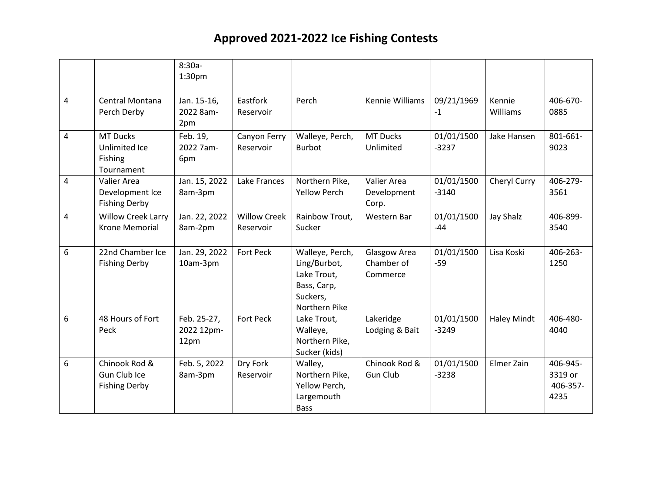|                |                                                           | $8:30a-$<br>1:30 <sub>pm</sub>    |                                  |                                                                                            |                                        |                       |                    |                                         |
|----------------|-----------------------------------------------------------|-----------------------------------|----------------------------------|--------------------------------------------------------------------------------------------|----------------------------------------|-----------------------|--------------------|-----------------------------------------|
| $\overline{4}$ | Central Montana<br>Perch Derby                            | Jan. 15-16,<br>2022 8am-<br>2pm   | Eastfork<br>Reservoir            | Perch                                                                                      | Kennie Williams                        | 09/21/1969<br>$-1$    | Kennie<br>Williams | 406-670-<br>0885                        |
| $\overline{4}$ | <b>MT Ducks</b><br>Unlimited Ice<br>Fishing<br>Tournament | Feb. 19,<br>2022 7am-<br>6pm      | Canyon Ferry<br>Reservoir        | Walleye, Perch,<br><b>Burbot</b>                                                           | <b>MT Ducks</b><br>Unlimited           | 01/01/1500<br>$-3237$ | Jake Hansen        | 801-661-<br>9023                        |
| 4              | Valier Area<br>Development Ice<br><b>Fishing Derby</b>    | Jan. 15, 2022<br>8am-3pm          | Lake Frances                     | Northern Pike,<br><b>Yellow Perch</b>                                                      | Valier Area<br>Development<br>Corp.    | 01/01/1500<br>$-3140$ | Cheryl Curry       | 406-279-<br>3561                        |
| 4              | Willow Creek Larry<br><b>Krone Memorial</b>               | Jan. 22, 2022<br>8am-2pm          | <b>Willow Creek</b><br>Reservoir | Rainbow Trout,<br>Sucker                                                                   | Western Bar                            | 01/01/1500<br>$-44$   | <b>Jay Shalz</b>   | 406-899-<br>3540                        |
| 6              | 22nd Chamber Ice<br><b>Fishing Derby</b>                  | Jan. 29, 2022<br>10am-3pm         | Fort Peck                        | Walleye, Perch,<br>Ling/Burbot,<br>Lake Trout,<br>Bass, Carp,<br>Suckers,<br>Northern Pike | Glasgow Area<br>Chamber of<br>Commerce | 01/01/1500<br>$-59$   | Lisa Koski         | 406-263-<br>1250                        |
| 6              | 48 Hours of Fort<br>Peck                                  | Feb. 25-27,<br>2022 12pm-<br>12pm | <b>Fort Peck</b>                 | Lake Trout,<br>Walleye,<br>Northern Pike,<br>Sucker (kids)                                 | Lakeridge<br>Lodging & Bait            | 01/01/1500<br>$-3249$ | <b>Haley Mindt</b> | 406-480-<br>4040                        |
| 6              | Chinook Rod &<br>Gun Club Ice<br><b>Fishing Derby</b>     | Feb. 5, 2022<br>8am-3pm           | Dry Fork<br>Reservoir            | Walley,<br>Northern Pike,<br>Yellow Perch,<br>Largemouth<br><b>Bass</b>                    | Chinook Rod &<br><b>Gun Club</b>       | 01/01/1500<br>$-3238$ | Elmer Zain         | 406-945-<br>3319 or<br>406-357-<br>4235 |